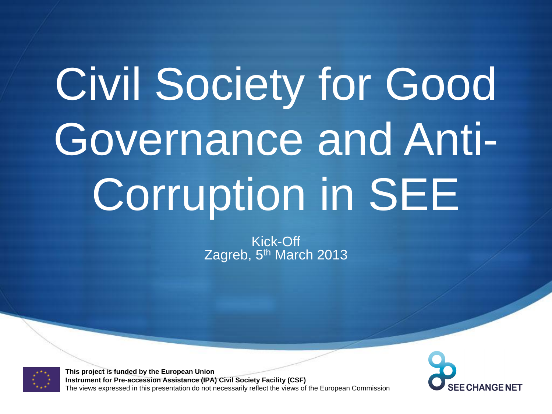## Civil Society for Good Governance and Anti-Corruption in SEE

Kick-Off Zagreb, 5<sup>th</sup> March 2013



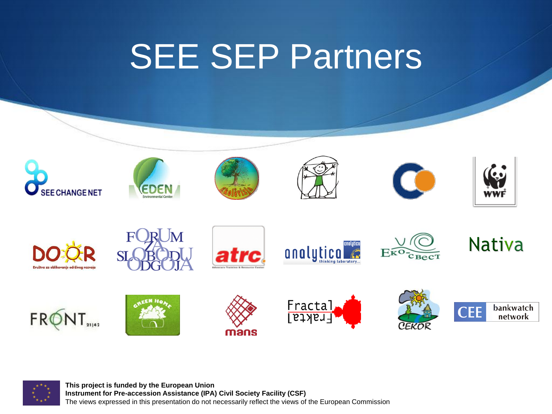#### SEE SEP Partners



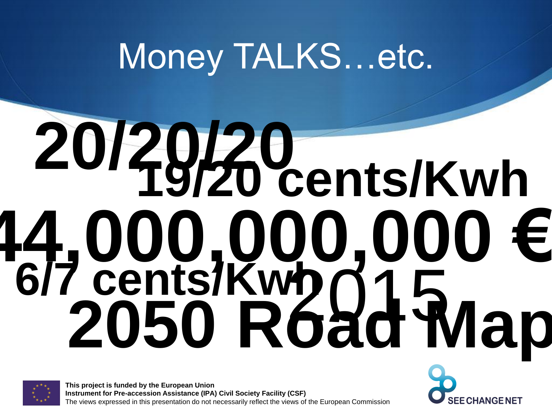#### Money TALKS...etc.

# **44,000,000,000 €** 2015 **6/7 cents/Kwh 19/20 cents/Kwh 20/20/20 2050 Road Map**



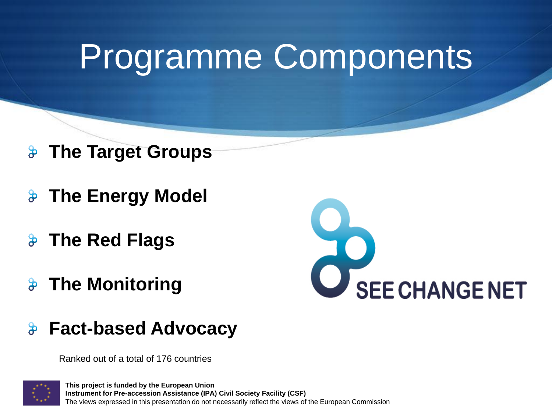#### Programme Components

- **The Target Groups**  $\frac{1}{\sqrt{2}}$
- **The Energy Model**
- **The Red Flags**  $\mathbf{a}$
- $\theta$ **The Monitoring**



 $\frac{1}{\sqrt{2}}$ **Fact-based Advocacy**

Ranked out of a total of 176 countries

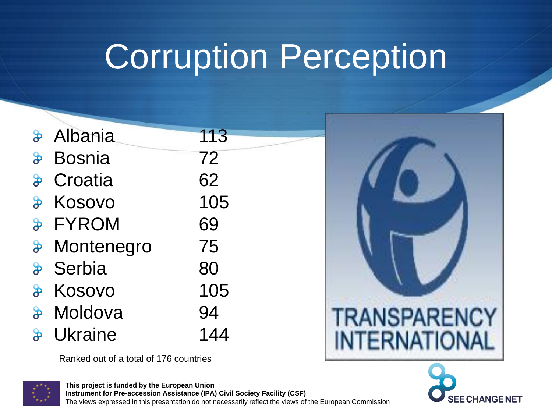#### Corruption Perception

|                          | & Albania          | 113 |
|--------------------------|--------------------|-----|
| $\mathbf{e}$             | <b>Bosnia</b>      | 72  |
| $\mathbf{B}$             | Croatia            | 62  |
| $\frac{1}{\sqrt{2}}$     | Kosovo             | 105 |
|                          | <b>&amp; FYROM</b> | 69  |
| $\boldsymbol{\vartheta}$ | Montenegro         | 75  |
| $\frac{1}{2}$            | Serbia             | 80  |
| $\clubsuit$              | Kosovo             | 105 |
| $\mathbf{e}$             | Moldova            | 94  |
| $\mathbf{\vartheta}$     | <b>Ukraine</b>     | 144 |

Ranked out of a total of 176 countries





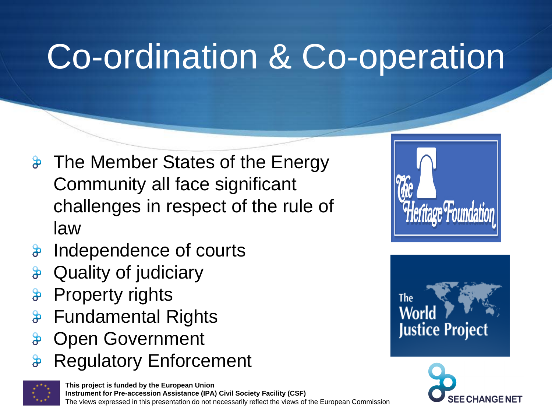#### Co-ordination & Co-operation

- $\frac{1}{2}$  The Member States of the Energy Community all face significant challenges in respect of the rule of law
- Independence of courts  $\mathbf{P}$
- Quality of judiciary
- Property rights
- Fundamental Rights  $\boldsymbol{\vartheta}$
- Open Government
- Regulatory Enforcement







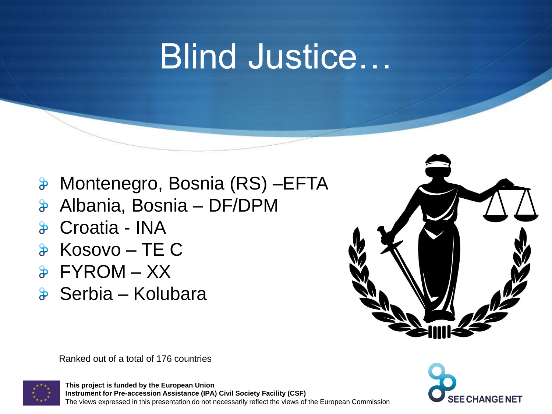#### Blind Justice…

- Montenegro, Bosnia (RS) –EFTA
- Albania, Bosnia DF/DPM  $\mathbf{e}$
- Croatia INA  $\mathbf{R}$
- Kosovo TE C
- FYROM XX
- **& Serbia Kolubara**



Ranked out of a total of 176 countries



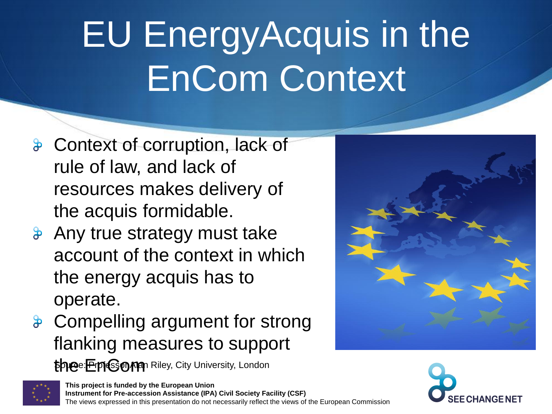### EU EnergyAcquis in the EnCom Context

- **&** Context of corruption, lack of rule of law, and lack of resources makes delivery of the acquis formidable.
- **&** Any true strategy must take account of the context in which the energy acquis has to operate.
- Compelling argument for strong flanking measures to support the: **Frant Sorran** Riley, City University, London